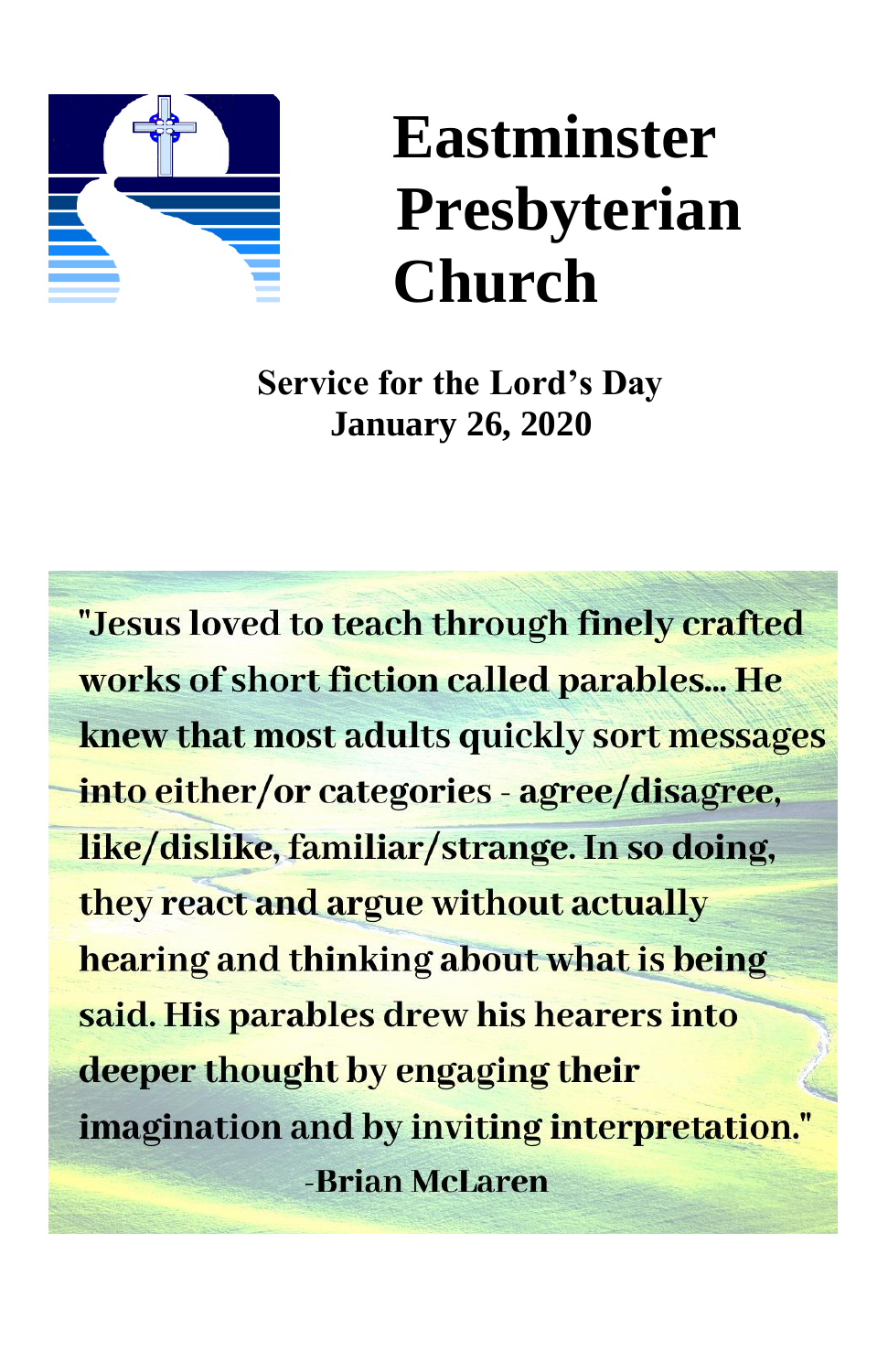

# **Eastminster Presbyterian Church**

**Service for the Lord's Day January 26, 2020**

"Jesus loved to teach through finely crafted works of short fiction called parables... He knew that most adults quickly sort messages into either/or categories - agree/disagree, like/dislike, familiar/strange. In so doing, they react and argue without actually hearing and thinking about what is being said. His parables drew his hearers into deeper thought by engaging their imagination and by inviting interpretation." -Brian McLaren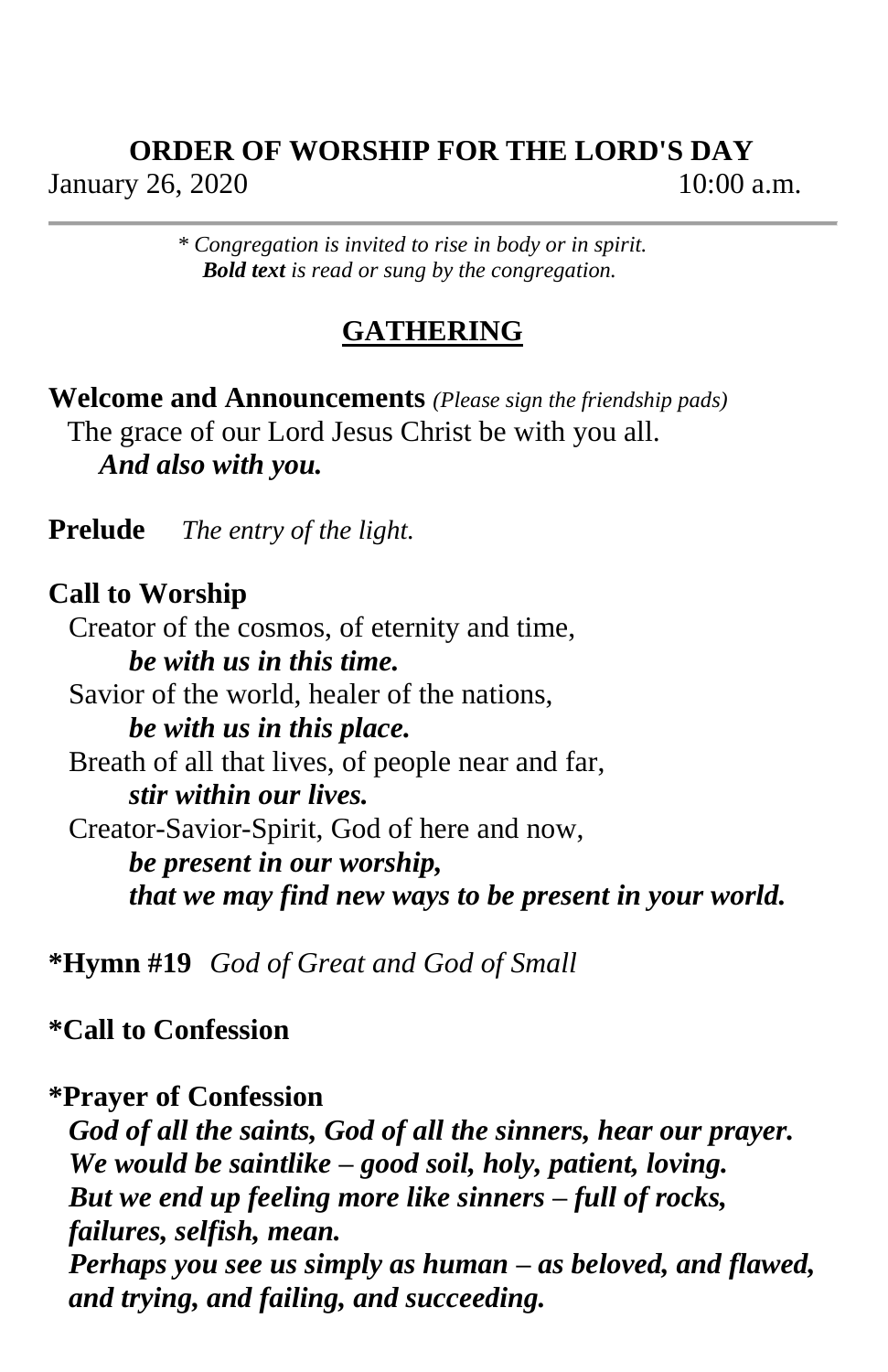# **ORDER OF WORSHIP FOR THE LORD'S DAY** January 26, 2020 10:00 a.m.

*\* Congregation is invited to rise in body or in spirit. Bold text is read or sung by the congregation.*

# **GATHERING**

**Welcome and Announcements** *(Please sign the friendship pads)* The grace of our Lord Jesus Christ be with you all. *And also with you.*

**Prelude** *The entry of the light.*

# **Call to Worship**

Creator of the cosmos, of eternity and time, *be with us in this time.* Savior of the world, healer of the nations, *be with us in this place.* Breath of all that lives, of people near and far, *stir within our lives.* Creator-Savior-Spirit, God of here and now, *be present in our worship, that we may find new ways to be present in your world.*

**\*Hymn #19** *God of Great and God of Small*

**\*Call to Confession**

### **\*Prayer of Confession**

*God of all the saints, God of all the sinners, hear our prayer. We would be saintlike – good soil, holy, patient, loving. But we end up feeling more like sinners – full of rocks, failures, selfish, mean. Perhaps you see us simply as human – as beloved, and flawed, and trying, and failing, and succeeding.*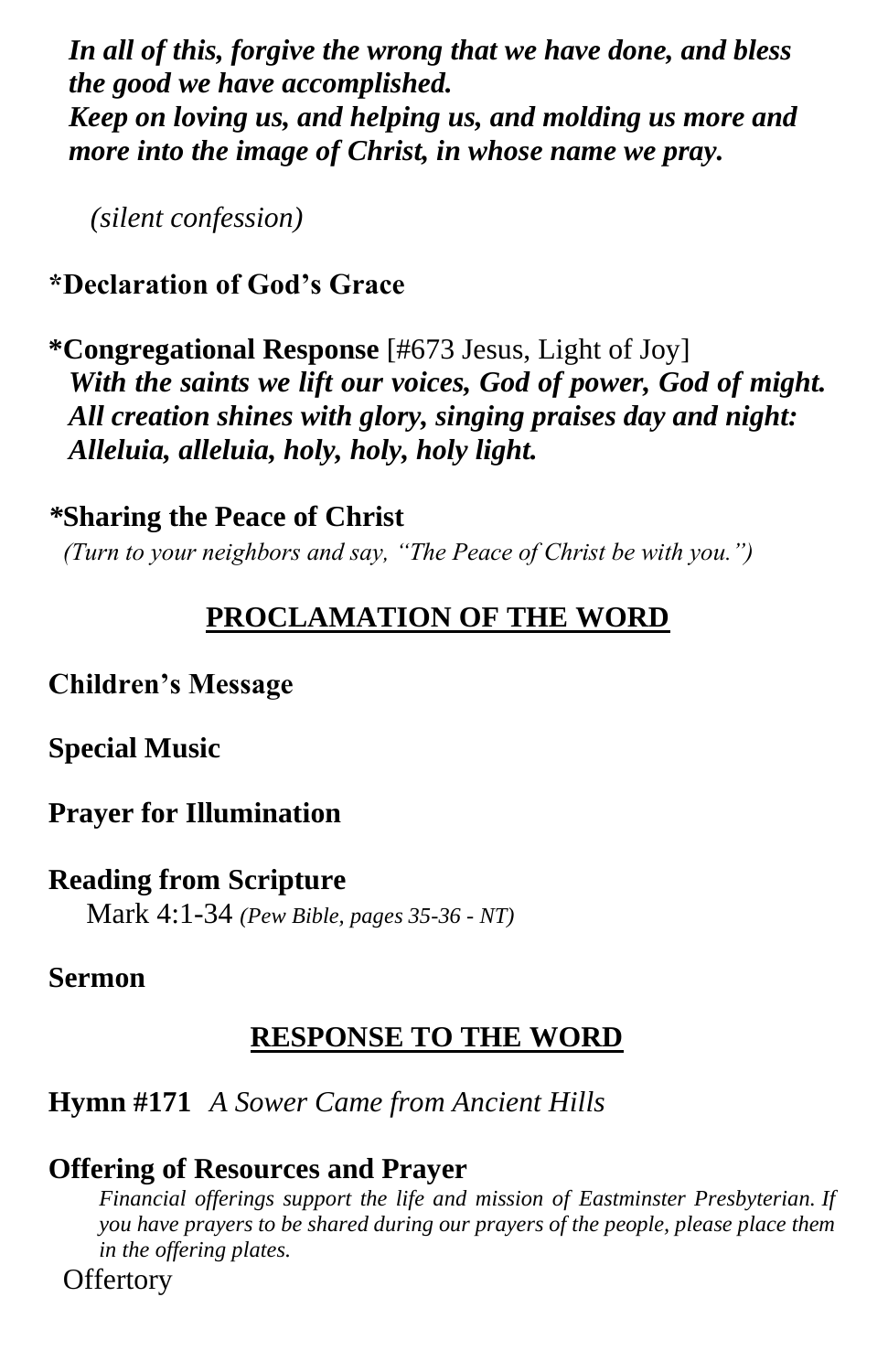*In all of this, forgive the wrong that we have done, and bless the good we have accomplished. Keep on loving us, and helping us, and molding us more and more into the image of Christ, in whose name we pray.*

 *(silent confession)*

# **\*Declaration of God's Grace**

**\*Congregational Response** [#673 Jesus, Light of Joy] *With the saints we lift our voices, God of power, God of might. All creation shines with glory, singing praises day and night: Alleluia, alleluia, holy, holy, holy light.*

# *\****Sharing the Peace of Christ**

*(Turn to your neighbors and say, "The Peace of Christ be with you.")*

# **PROCLAMATION OF THE WORD**

# **Children's Message**

# **Special Music**

# **Prayer for Illumination**

# **Reading from Scripture**

Mark 4:1-34 *(Pew Bible, pages 35-36 - NT)*

# **Sermon**

# **RESPONSE TO THE WORD**

# **Hymn #171** *A Sower Came from Ancient Hills*

# **Offering of Resources and Prayer**

*Financial offerings support the life and mission of Eastminster Presbyterian. If you have prayers to be shared during our prayers of the people, please place them in the offering plates.*

**Offertory**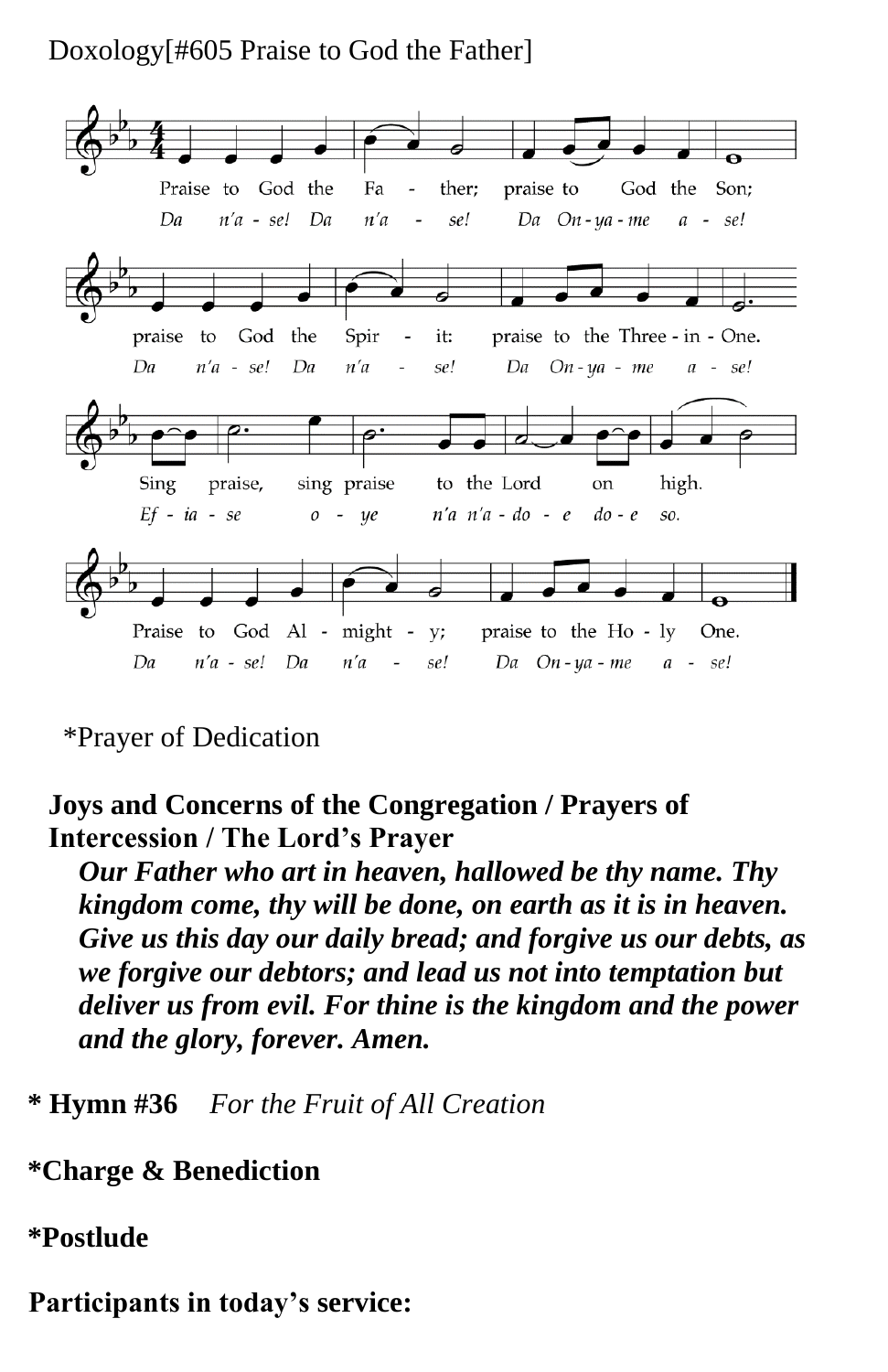# Doxology[#605 Praise to God the Father]



# \*Prayer of Dedication

# **Joys and Concerns of the Congregation / Prayers of Intercession / The Lord's Prayer**

*Our Father who art in heaven, hallowed be thy name. Thy kingdom come, thy will be done, on earth as it is in heaven. Give us this day our daily bread; and forgive us our debts, as we forgive our debtors; and lead us not into temptation but deliver us from evil. For thine is the kingdom and the power and the glory, forever. Amen.*

**\* Hymn #36** *For the Fruit of All Creation*

# **\*Charge & Benediction**

# **\*Postlude**

**Participants in today's service:**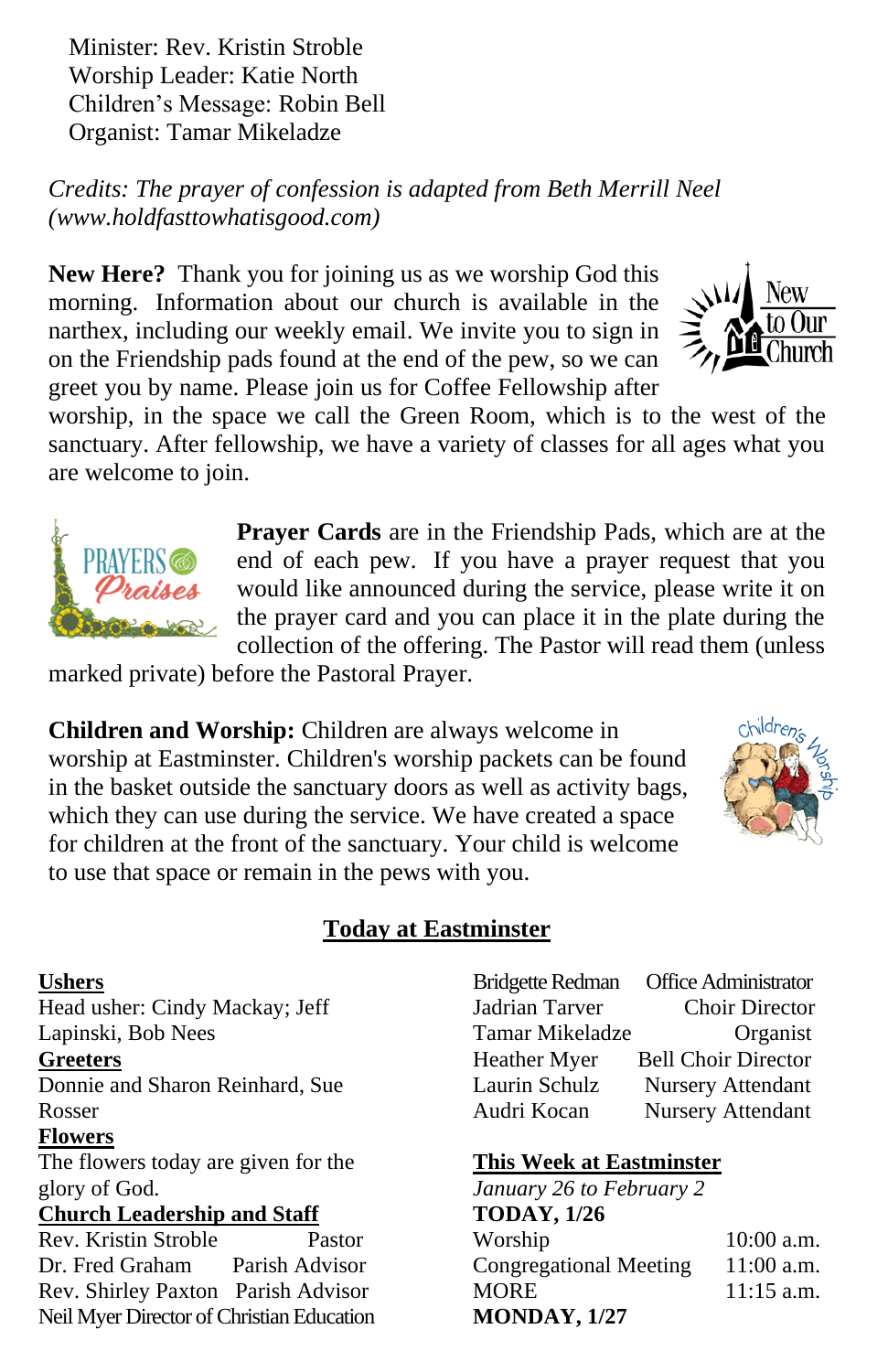Minister: Rev. Kristin Stroble Worship Leader: Katie North Children's Message: Robin Bell Organist: Tamar Mikeladze

*Credits: The prayer of confession is adapted from Beth Merrill Neel (www.holdfasttowhatisgood.com)*

**New Here?** Thank you for joining us as we worship God this morning. Information about our church is available in the narthex, including our weekly email. We invite you to sign in on the Friendship pads found at the end of the pew, so we can greet you by name. Please join us for Coffee Fellowship after

worship, in the space we call the Green Room, which is to the west of the sanctuary. After fellowship, we have a variety of classes for all ages what you are welcome to join.

> **Prayer Cards** are in the Friendship Pads, which are at the end of each pew. If you have a prayer request that you would like announced during the service, please write it on the prayer card and you can place it in the plate during the collection of the offering. The Pastor will read them (unless

marked private) before the Pastoral Prayer.

**Children and Worship:** Children are always welcome in worship at Eastminster. Children's worship packets can be found in the basket outside the sanctuary doors as well as activity bags, which they can use during the service. We have created a space for children at the front of the sanctuary. Your child is welcome to use that space or remain in the pews with you.

#### **Today at Eastminster**

#### **Ushers**

Head usher: Cindy Mackay; Jeff Lapinski, Bob Nees

#### **Greeters**

Donnie and Sharon Reinhard, Sue Rosser

#### **Flowers**

The flowers today are given for the glory of God.

#### **Church Leadership and Staff**

Rev. Kristin Stroble Pastor Dr. Fred Graham Parish Advisor Rev. Shirley Paxton Parish Advisor Neil Myer Director of Christian Education Bridgette Redman Office Administrator Jadrian Tarver Choir Director Tamar Mikeladze Organist Heather Myer Bell Choir Director Laurin Schulz Nursery Attendant Audri Kocan Nursery Attendant

#### **This Week at Eastminster**

*January 26 to February 2* **TODAY, 1/26** Worship 10:00 a.m. Congregational Meeting 11:00 a.m. MORE 11:15 a.m. **MONDAY, 1/27**





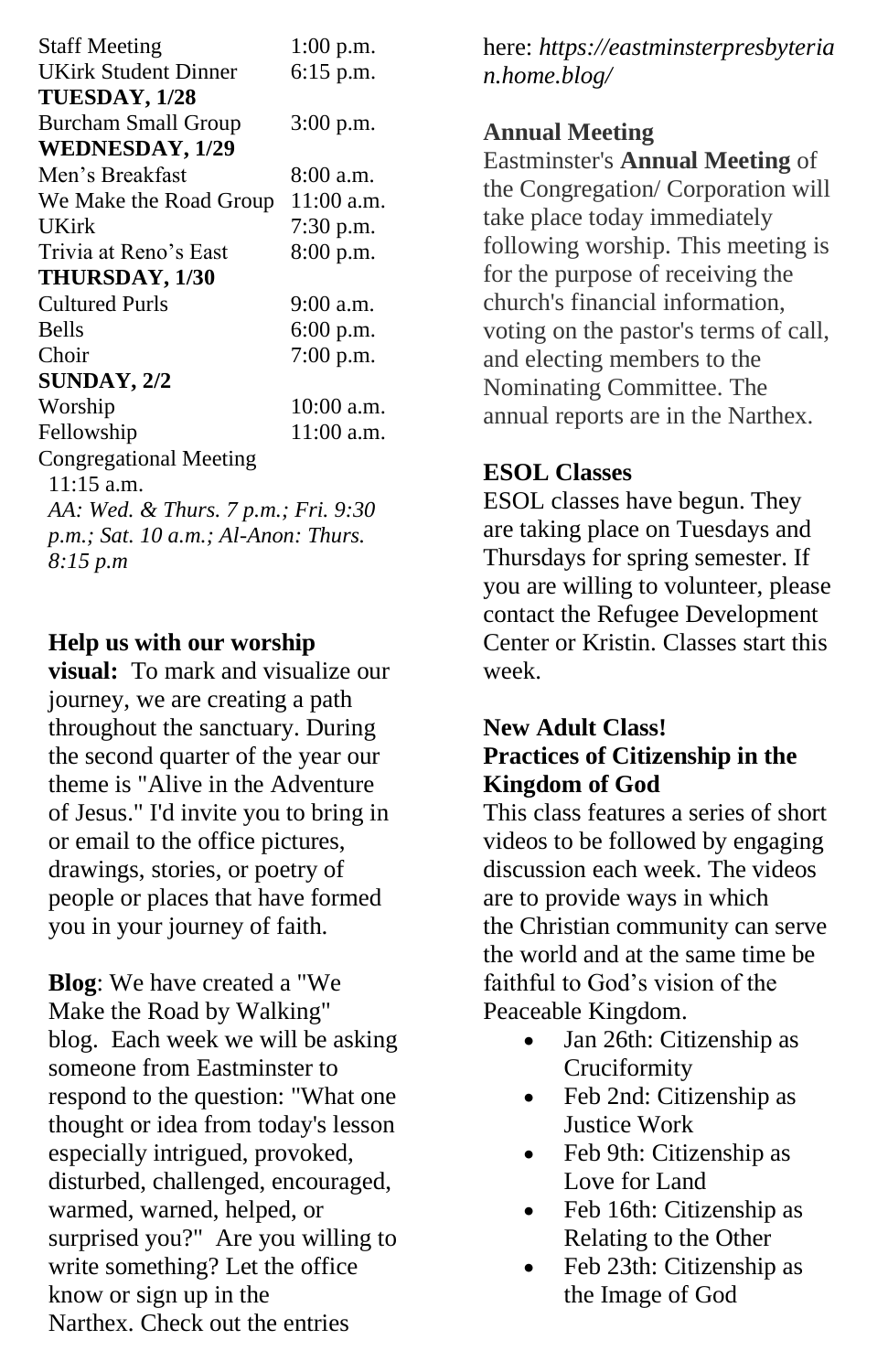| <b>Staff Meeting</b>                      | 1:00 p.m.    |
|-------------------------------------------|--------------|
| <b>UKirk Student Dinner</b>               | 6:15 p.m.    |
| TUESDAY, 1/28                             |              |
| <b>Burcham Small Group</b>                | 3:00 p.m.    |
| <b>WEDNESDAY, 1/29</b>                    |              |
| Men's Breakfast                           | 8:00 a.m.    |
| We Make the Road Group                    | $11:00$ a.m. |
| UKirk                                     | 7:30 p.m.    |
| Trivia at Reno's East                     | $8:00$ p.m.  |
| <b>THURSDAY, 1/30</b>                     |              |
| Cultured Purls                            | $9:00$ a.m.  |
| <b>Bells</b>                              | $6:00$ p.m.  |
| Choir                                     | $7:00$ p.m.  |
| SUNDAY, 2/2                               |              |
| Worship                                   | 10:00 a.m.   |
| Fellowship                                | 11:00 a.m.   |
| <b>Congregational Meeting</b>             |              |
| $11:15$ a.m.                              |              |
| AA: Wed. & Thurs. 7 p.m.; Fri. 9:30       |              |
| $p.m.$ ; Sat. 10 $a.m.$ ; Al-Anon: Thurs. |              |
| 8:15 p.m                                  |              |

#### **Help us with our worship**

**visual:** To mark and visualize our journey, we are creating a path throughout the sanctuary. During the second quarter of the year our theme is "Alive in the Adventure of Jesus." I'd invite you to bring in or email to the office pictures, drawings, stories, or poetry of people or places that have formed you in your journey of faith.

**Blog**: We have created a "We Make the Road by Walking" blog. Each week we will be asking someone from Eastminster to respond to the question: "What one thought or idea from today's lesson especially intrigued, provoked, disturbed, challenged, encouraged, warmed, warned, helped, or surprised you?" Are you willing to write something? Let the office know or sign up in the Narthex. Check out the entries

here: *https://eastminsterpresbyteria n.home.blog/*

#### **Annual Meeting**

Eastminster's **Annual Meeting** of the Congregation/ Corporation will take place today immediately following worship. This meeting is for the purpose of receiving the church's financial information, voting on the pastor's terms of call, and electing members to the Nominating Committee. The annual reports are in the Narthex.

#### **ESOL Classes**

ESOL classes have begun. They are taking place on Tuesdays and Thursdays for spring semester. If you are willing to volunteer, please contact the Refugee Development Center or Kristin. Classes start this week.

#### **New Adult Class! Practices of Citizenship in the Kingdom of God**

This class features a series of short videos to be followed by engaging discussion each week. The videos are to provide ways in which the Christian community can serve the world and at the same time be faithful to God's vision of the Peaceable Kingdom.

- Jan 26th: Citizenship as Cruciformity
- Feb 2nd: Citizenship as Justice Work
- Feb 9th: Citizenship as Love for Land
- Feb 16th: Citizenship as Relating to the Other
- Feb 23th: Citizenship as the Image of God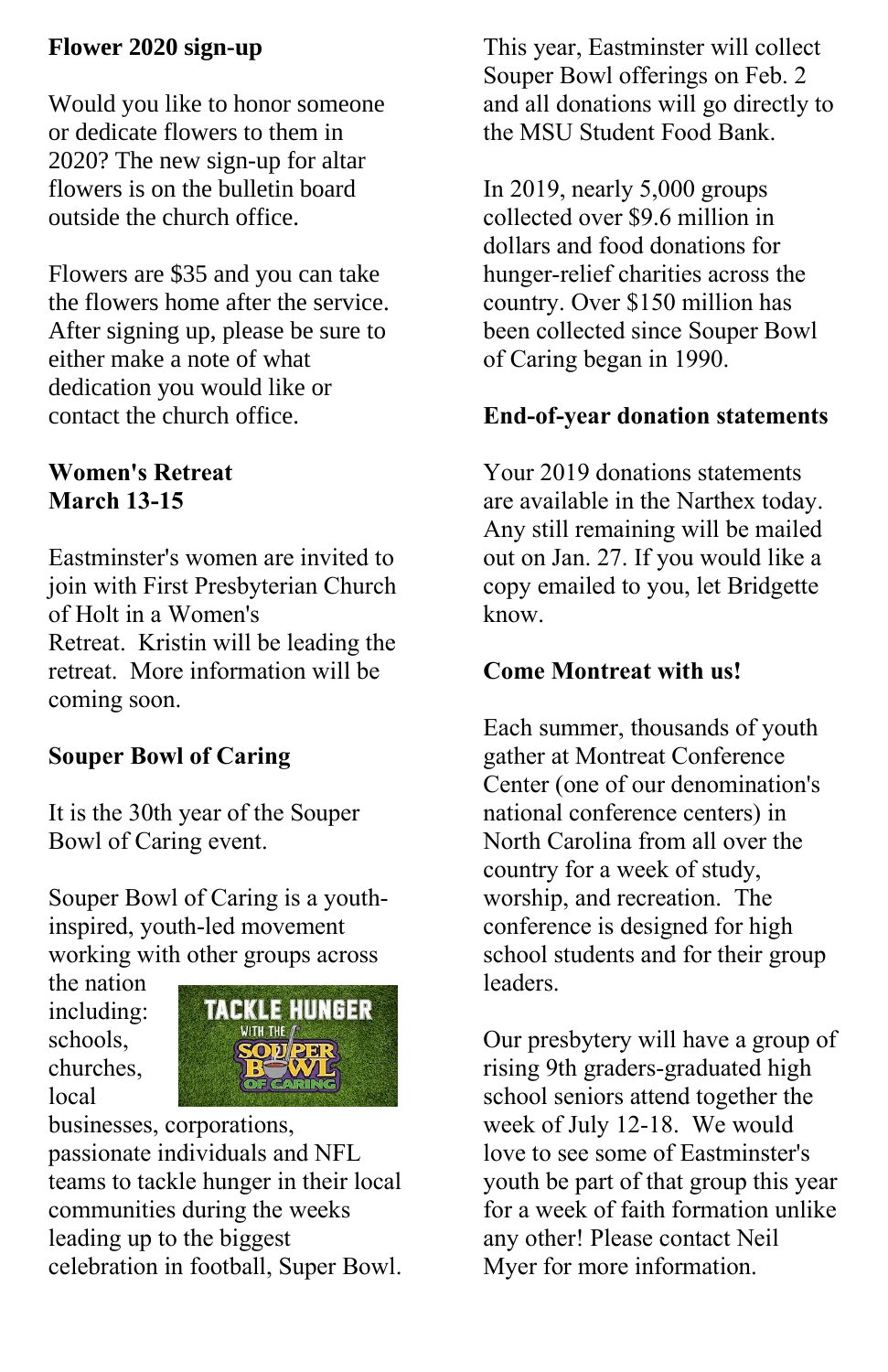### **Flower 2020 sign-up**

Would you like to honor someone or dedicate flowers to them in 2020? The new sign-up for altar flowers is on the bulletin board outside the church office.

Flowers are \$35 and you can take the flowers home after the service. After signing up, please be sure to either make a note of what dedication you would like or contact the church office.

### **Women's Retreat March 13-15**

Eastminster's women are invited to join with First Presbyterian Church of Holt in a Women's Retreat. Kristin will be leading the retreat. More information will be coming soon.

# **Souper Bowl of Caring**

It is the 30th year of the Souper Bowl of Caring event.

Souper Bowl of Caring is a youthinspired, youth-led movement working with other groups across

the nation including: schools, churches, local



businesses, corporations, passionate individuals and NFL teams to tackle hunger in their local communities during the weeks leading up to the biggest celebration in football, Super Bowl. This year, Eastminster will collect Souper Bowl offerings on Feb. 2 and all donations will go directly to the MSU Student Food Bank.

In 2019, nearly 5,000 groups collected over \$9.6 million in dollars and food donations for hunger-relief charities across the country. Over \$150 million has been collected since Souper Bowl of Caring began in 1990.

#### **End-of-year donation statements**

Your 2019 donations statements are available in the Narthex today. Any still remaining will be mailed out on Jan. 27. If you would like a copy emailed to you, let Bridgette know.

### **Come Montreat with us!**

Each summer, thousands of youth gather at Montreat Conference Center (one of our denomination's national conference centers) in North Carolina from all over the country for a week of study, worship, and recreation. The conference is designed for high school students and for their group leaders.

Our presbytery will have a group of rising 9th graders-graduated high school seniors attend together the week of July 12-18. We would love to see some of Eastminster's youth be part of that group this year for a week of faith formation unlike any other! Please contact Neil Myer for more information.